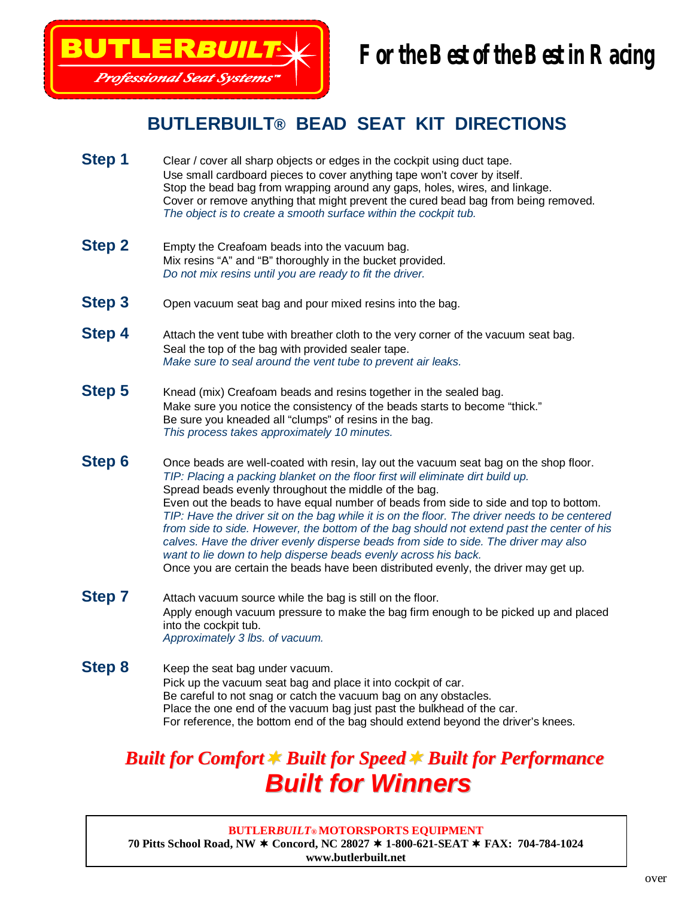

# **For the Best of the Best in Racing**

#### **BUTLERBUILT® BEAD SEAT KIT DIRECTIONS**

- **Step 1** Clear / cover all sharp objects or edges in the cockpit using duct tape. Use small cardboard pieces to cover anything tape won't cover by itself. Stop the bead bag from wrapping around any gaps, holes, wires, and linkage. Cover or remove anything that might prevent the cured bead bag from being removed. *The object is to create a smooth surface within the cockpit tub.*
- **Step 2** Empty the Creafoam beads into the vacuum bag. Mix resins "A" and "B" thoroughly in the bucket provided. *Do not mix resins until you are ready to fit the driver.*
- **Step 3** Open vacuum seat bag and pour mixed resins into the bag.
- **Step 4** Attach the vent tube with breather cloth to the very corner of the vacuum seat bag. Seal the top of the bag with provided sealer tape. *Make sure to seal around the vent tube to prevent air leaks.*
- **Step 5** Knead (mix) Creafoam beads and resins together in the sealed bag. Make sure you notice the consistency of the beads starts to become "thick." Be sure you kneaded all "clumps" of resins in the bag. *This process takes approximately 10 minutes.*
- **Step 6** Once beads are well-coated with resin, lay out the vacuum seat bag on the shop floor. *TIP: Placing a packing blanket on the floor first will eliminate dirt build up.* Spread beads evenly throughout the middle of the bag. Even out the beads to have equal number of beads from side to side and top to bottom. *TIP: Have the driver sit on the bag while it is on the floor. The driver needs to be centered from side to side. However, the bottom of the bag should not extend past the center of his calves. Have the driver evenly disperse beads from side to side. The driver may also want to lie down to help disperse beads evenly across his back.* Once you are certain the beads have been distributed evenly, the driver may get up.
- **Step 7** Attach vacuum source while the bag is still on the floor. Apply enough vacuum pressure to make the bag firm enough to be picked up and placed into the cockpit tub. *Approximately 3 lbs. of vacuum.*
- **Step 8** Keep the seat bag under vacuum. Pick up the vacuum seat bag and place it into cockpit of car. Be careful to not snag or catch the vacuum bag on any obstacles. Place the one end of the vacuum bag just past the bulkhead of the car. For reference, the bottom end of the bag should extend beyond the driver's knees.

## *Built for Comfort Built for Speed Built for Performance Built for Winners*

#### **BUTLER***BUILT***® MOTORSPORTS EQUIPMENT 70 Pitts School Road, NW Concord, NC 28027 1-800-621-SEAT FAX: 704-784-1024 www.butlerbuilt.net**